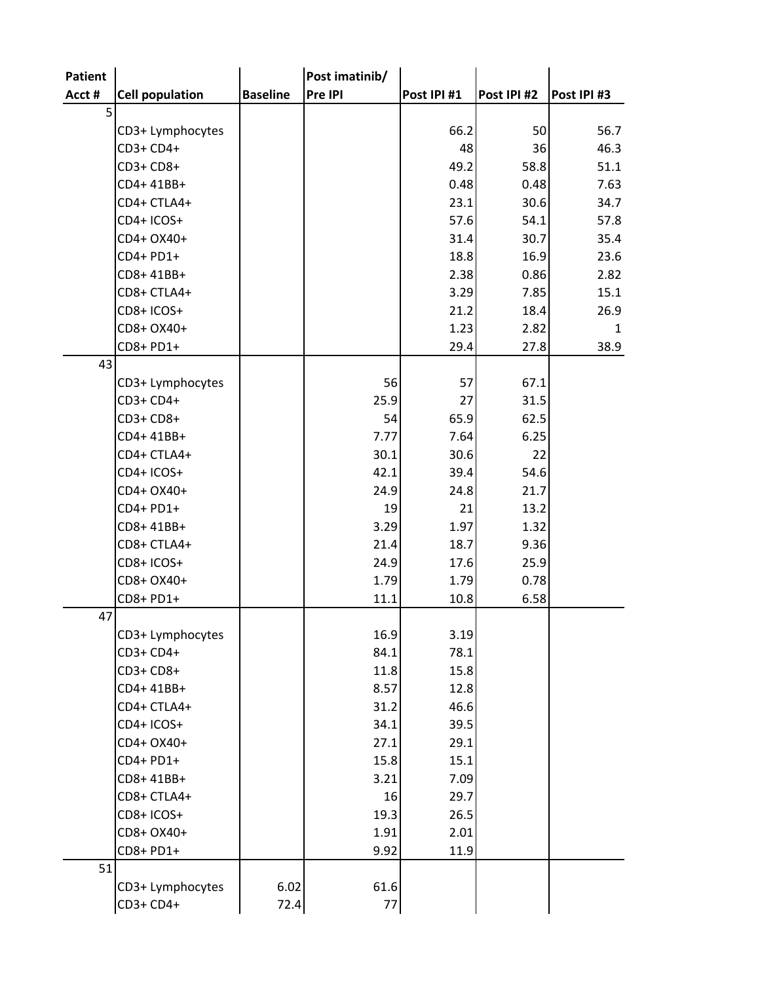| Patient        |                        |                 | Post imatinib/ |             |             |             |
|----------------|------------------------|-----------------|----------------|-------------|-------------|-------------|
| Acct #         | <b>Cell population</b> | <b>Baseline</b> | Pre IPI        | Post IPI #1 | Post IPI #2 | Post IPI #3 |
| 5 <sup>1</sup> |                        |                 |                |             |             |             |
|                | CD3+ Lymphocytes       |                 |                | 66.2        | 50          | 56.7        |
|                | CD3+ CD4+              |                 |                | 48          | 36          | 46.3        |
|                | CD3+ CD8+              |                 |                | 49.2        | 58.8        | 51.1        |
|                | CD4+41BB+              |                 |                | 0.48        | 0.48        | 7.63        |
|                | CD4+ CTLA4+            |                 |                | 23.1        | 30.6        | 34.7        |
|                | CD4+ ICOS+             |                 |                | 57.6        | 54.1        | 57.8        |
|                | CD4+ OX40+             |                 |                | 31.4        | 30.7        | 35.4        |
|                | CD4+ PD1+              |                 |                | 18.8        | 16.9        | 23.6        |
|                | CD8+41BB+              |                 |                | 2.38        | 0.86        | 2.82        |
|                | CD8+ CTLA4+            |                 |                | 3.29        | 7.85        | 15.1        |
|                | CD8+ICOS+              |                 |                | 21.2        | 18.4        | 26.9        |
|                | CD8+ OX40+             |                 |                | 1.23        | 2.82        | 1           |
|                | CD8+ PD1+              |                 |                | 29.4        | 27.8        | 38.9        |
| 43             |                        |                 |                |             |             |             |
|                | CD3+ Lymphocytes       |                 | 56             | 57          | 67.1        |             |
|                | CD3+ CD4+              |                 | 25.9           | 27          | 31.5        |             |
|                | CD3+ CD8+              |                 | 54             | 65.9        | 62.5        |             |
|                | CD4+41BB+              |                 | 7.77           | 7.64        | 6.25        |             |
|                | CD4+ CTLA4+            |                 | 30.1           | 30.6        | 22          |             |
|                | CD4+ ICOS+             |                 | 42.1           | 39.4        | 54.6        |             |
|                | CD4+ OX40+             |                 | 24.9           | 24.8        | 21.7        |             |
|                | CD4+ PD1+              |                 | 19             | 21          | 13.2        |             |
|                | CD8+41BB+              |                 | 3.29           | 1.97        | 1.32        |             |
|                | CD8+ CTLA4+            |                 | 21.4           | 18.7        | 9.36        |             |
|                | CD8+ICOS+              |                 | 24.9           | 17.6        | 25.9        |             |
|                | CD8+ OX40+             |                 | 1.79           | 1.79        | 0.78        |             |
|                | CD8+ PD1+              |                 | 11.1           | 10.8        | 6.58        |             |
| 47             |                        |                 |                |             |             |             |
|                | CD3+ Lymphocytes       |                 | 16.9           | 3.19        |             |             |
|                | CD3+ CD4+              |                 | 84.1           | 78.1        |             |             |
|                | CD3+ CD8+              |                 | 11.8           | 15.8        |             |             |
|                | CD4+41BB+              |                 | 8.57           | 12.8        |             |             |
|                | CD4+ CTLA4+            |                 | 31.2           | 46.6        |             |             |
|                | CD4+ICOS+              |                 | 34.1           | 39.5        |             |             |
|                | CD4+ OX40+             |                 | 27.1           | 29.1        |             |             |
|                | CD4+ PD1+              |                 | 15.8           | 15.1        |             |             |
|                | CD8+41BB+              |                 | 3.21           | 7.09        |             |             |
|                | CD8+ CTLA4+            |                 | 16             | 29.7        |             |             |
|                | CD8+ICOS+              |                 | 19.3           | 26.5        |             |             |
|                | CD8+ OX40+             |                 | 1.91           | 2.01        |             |             |
|                | CD8+ PD1+              |                 | 9.92           | 11.9        |             |             |
| 51             |                        |                 |                |             |             |             |
|                | CD3+ Lymphocytes       | 6.02            | 61.6           |             |             |             |
|                | CD3+ CD4+              | 72.4            | $77$           |             |             |             |